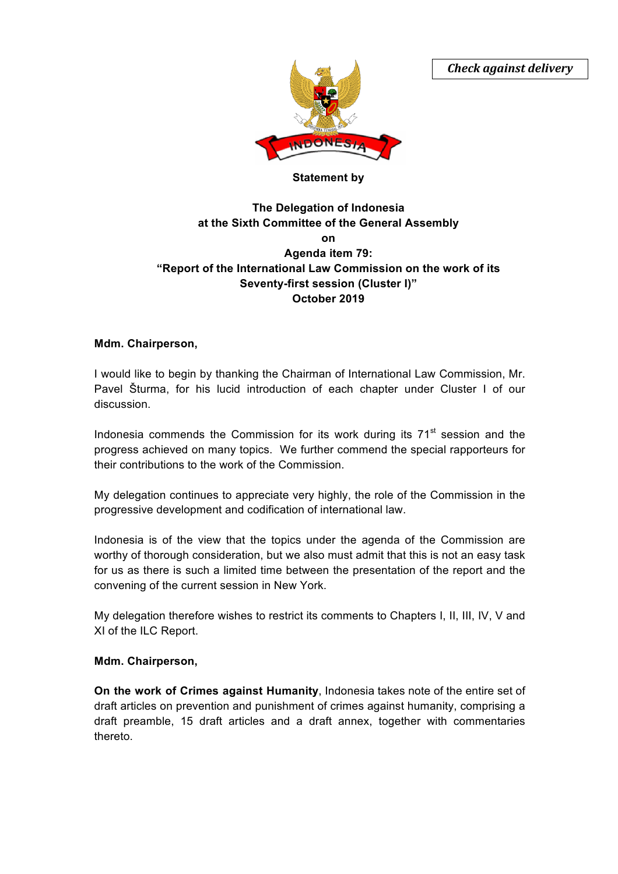*Check against delivery*



## **Statement by**

# **The Delegation of Indonesia at the Sixth Committee of the General Assembly on Agenda item 79: "Report of the International Law Commission on the work of its Seventy-first session (Cluster I)" October 2019**

### **Mdm. Chairperson,**

I would like to begin by thanking the Chairman of International Law Commission, Mr. Pavel Šturma, for his lucid introduction of each chapter under Cluster I of our discussion.

Indonesia commends the Commission for its work during its  $71<sup>st</sup>$  session and the progress achieved on many topics. We further commend the special rapporteurs for their contributions to the work of the Commission.

My delegation continues to appreciate very highly, the role of the Commission in the progressive development and codification of international law.

Indonesia is of the view that the topics under the agenda of the Commission are worthy of thorough consideration, but we also must admit that this is not an easy task for us as there is such a limited time between the presentation of the report and the convening of the current session in New York.

My delegation therefore wishes to restrict its comments to Chapters I, II, III, IV, V and XI of the ILC Report.

#### **Mdm. Chairperson,**

**On the work of Crimes against Humanity**, Indonesia takes note of the entire set of draft articles on prevention and punishment of crimes against humanity, comprising a draft preamble, 15 draft articles and a draft annex, together with commentaries thereto.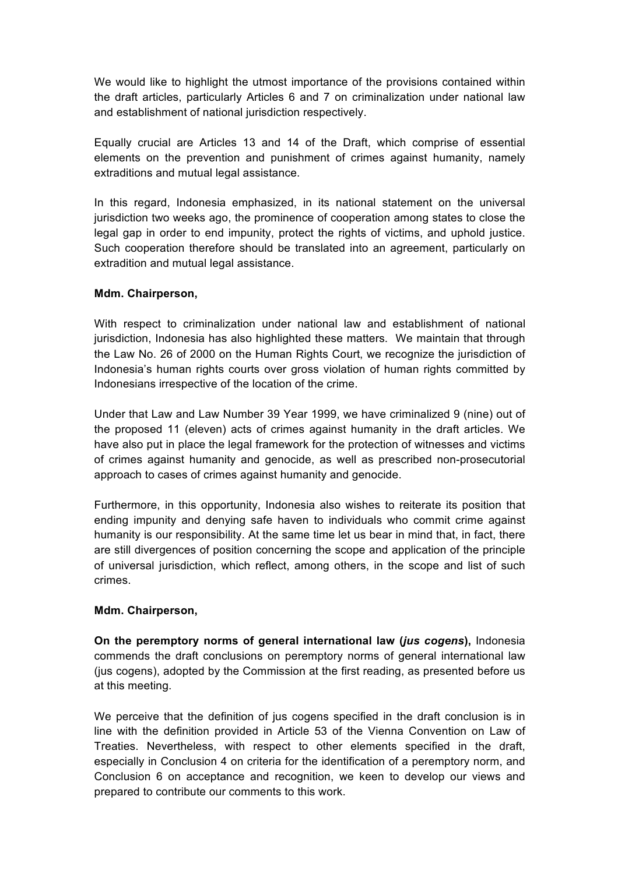We would like to highlight the utmost importance of the provisions contained within the draft articles, particularly Articles 6 and 7 on criminalization under national law and establishment of national jurisdiction respectively.

Equally crucial are Articles 13 and 14 of the Draft, which comprise of essential elements on the prevention and punishment of crimes against humanity, namely extraditions and mutual legal assistance.

In this regard, Indonesia emphasized, in its national statement on the universal jurisdiction two weeks ago, the prominence of cooperation among states to close the legal gap in order to end impunity, protect the rights of victims, and uphold justice. Such cooperation therefore should be translated into an agreement, particularly on extradition and mutual legal assistance.

## **Mdm. Chairperson,**

With respect to criminalization under national law and establishment of national jurisdiction, Indonesia has also highlighted these matters. We maintain that through the Law No. 26 of 2000 on the Human Rights Court, we recognize the jurisdiction of Indonesia's human rights courts over gross violation of human rights committed by Indonesians irrespective of the location of the crime.

Under that Law and Law Number 39 Year 1999, we have criminalized 9 (nine) out of the proposed 11 (eleven) acts of crimes against humanity in the draft articles. We have also put in place the legal framework for the protection of witnesses and victims of crimes against humanity and genocide, as well as prescribed non-prosecutorial approach to cases of crimes against humanity and genocide.

Furthermore, in this opportunity, Indonesia also wishes to reiterate its position that ending impunity and denying safe haven to individuals who commit crime against humanity is our responsibility. At the same time let us bear in mind that, in fact, there are still divergences of position concerning the scope and application of the principle of universal jurisdiction, which reflect, among others, in the scope and list of such crimes.

# **Mdm. Chairperson,**

**On the peremptory norms of general international law (***jus cogens***),** Indonesia commends the draft conclusions on peremptory norms of general international law (jus cogens), adopted by the Commission at the first reading, as presented before us at this meeting.

We perceive that the definition of jus cogens specified in the draft conclusion is in line with the definition provided in Article 53 of the Vienna Convention on Law of Treaties. Nevertheless, with respect to other elements specified in the draft, especially in Conclusion 4 on criteria for the identification of a peremptory norm, and Conclusion 6 on acceptance and recognition, we keen to develop our views and prepared to contribute our comments to this work.